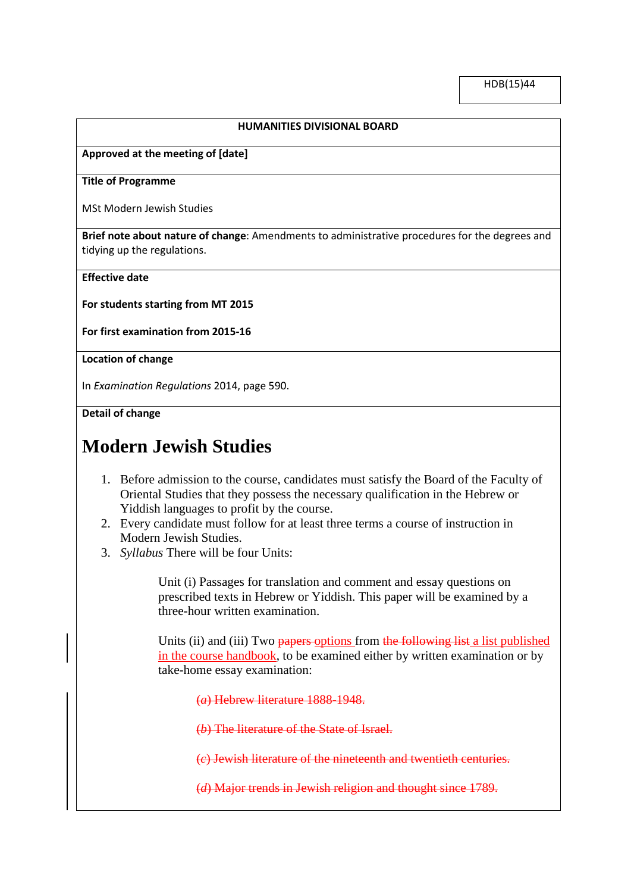### **HUMANITIES DIVISIONAL BOARD**

# **Approved at the meeting of [date]**

#### **Title of Programme**

MSt Modern Jewish Studies

**Brief note about nature of change**: Amendments to administrative procedures for the degrees and tidying up the regulations.

## **Effective date**

**For students starting from MT 2015**

**For first examination from 2015-16**

# **Location of change**

In *Examination Regulations* 2014, page 590.

**Detail of change**

# **Modern Jewish Studies**

- 1. Before admission to the course, candidates must satisfy the Board of the Faculty of Oriental Studies that they possess the necessary qualification in the Hebrew or Yiddish languages to profit by the course.
- 2. Every candidate must follow for at least three terms a course of instruction in Modern Jewish Studies.
- 3. *Syllabus* There will be four Units:

Unit (i) Passages for translation and comment and essay questions on prescribed texts in Hebrew or Yiddish. This paper will be examined by a three-hour written examination.

Units (ii) and (iii) Two papers options from the following list a list published in the course handbook, to be examined either by written examination or by take-home essay examination:

(*a*) Hebrew literature 1888-1948.

(*b*) The literature of the State of Israel.

(*c*) Jewish literature of the nineteenth and twentieth centuries.

(*d*) Major trends in Jewish religion and thought since 1789.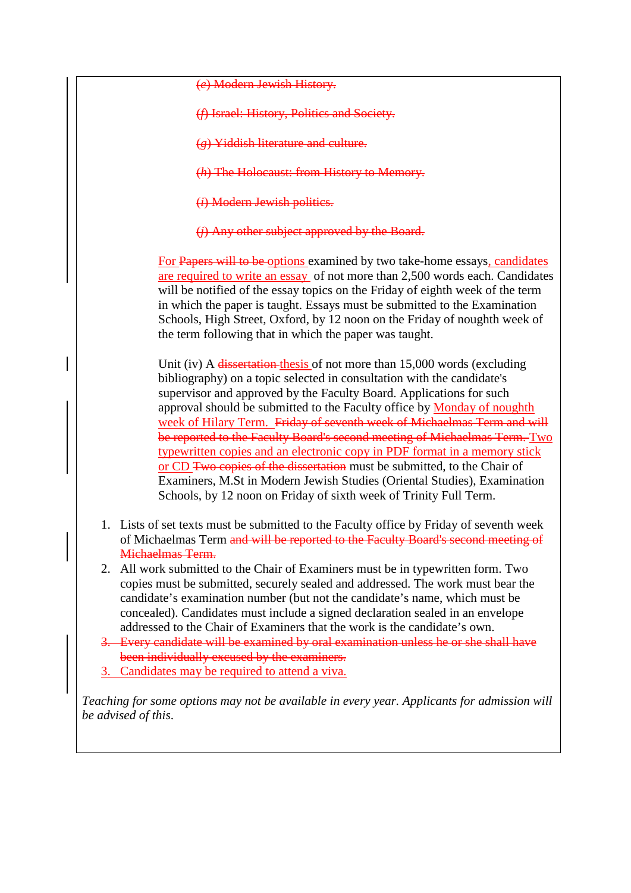(*e*) Modern Jewish History.

- (*f*) Israel: History, Politics and Society.
- (*g*) Yiddish literature and culture.
- (*h*) The Holocaust: from History to Memory.
- (*i*) Modern Jewish politics.
- (*j*) Any other subject approved by the Board.

For Papers will to be options examined by two take-home essays, candidates are required to write an essay of not more than 2,500 words each. Candidates will be notified of the essay topics on the Friday of eighth week of the term in which the paper is taught. Essays must be submitted to the Examination Schools, High Street, Oxford, by 12 noon on the Friday of noughth week of the term following that in which the paper was taught.

Unit (iv) A dissertation thesis of not more than 15,000 words (excluding bibliography) on a topic selected in consultation with the candidate's supervisor and approved by the Faculty Board. Applications for such approval should be submitted to the Faculty office by Monday of noughth week of Hilary Term. Friday of seventh week of Michaelmas Term and will be reported to the Faculty Board's second meeting of Michaelmas Term. Two typewritten copies and an electronic copy in PDF format in a memory stick or CD Two copies of the dissertation must be submitted, to the Chair of Examiners, M.St in Modern Jewish Studies (Oriental Studies), Examination Schools, by 12 noon on Friday of sixth week of Trinity Full Term.

- 1. Lists of set texts must be submitted to the Faculty office by Friday of seventh week of Michaelmas Term and will be reported to the Faculty Board's second meeting of Michaelmas Term.
- 2. All work submitted to the Chair of Examiners must be in typewritten form. Two copies must be submitted, securely sealed and addressed. The work must bear the candidate's examination number (but not the candidate's name, which must be concealed). Candidates must include a signed declaration sealed in an envelope addressed to the Chair of Examiners that the work is the candidate's own.
- 3. Every candidate will be examined by oral examination unless he or she shall have been individually excused by the examiners.
- 3. Candidates may be required to attend a viva.

*Teaching for some options may not be available in every year. Applicants for admission will be advised of this*.